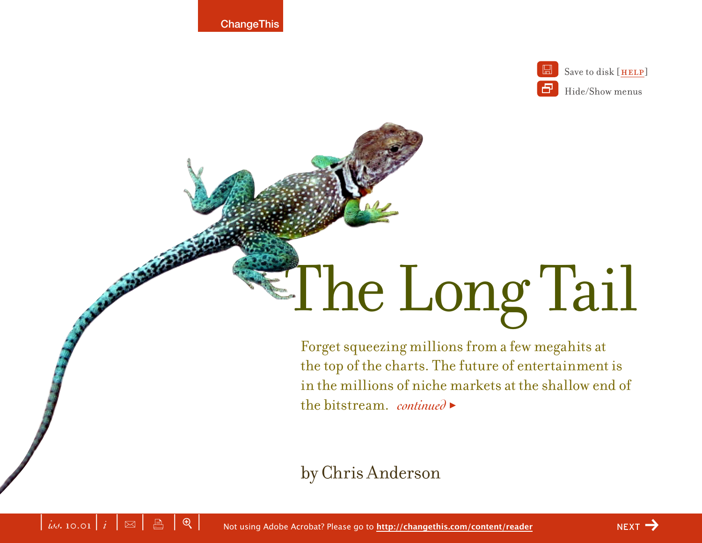

Save to disk [HELP] Hide/Show menus  $\Box$ 6

# The Long Tail

Forget squeezing millions from a few megahits at the top of the charts. The future of entertainment is in the millions of niche markets at the shallow end of the bitstream. *continued* >

### by Chris Anderson

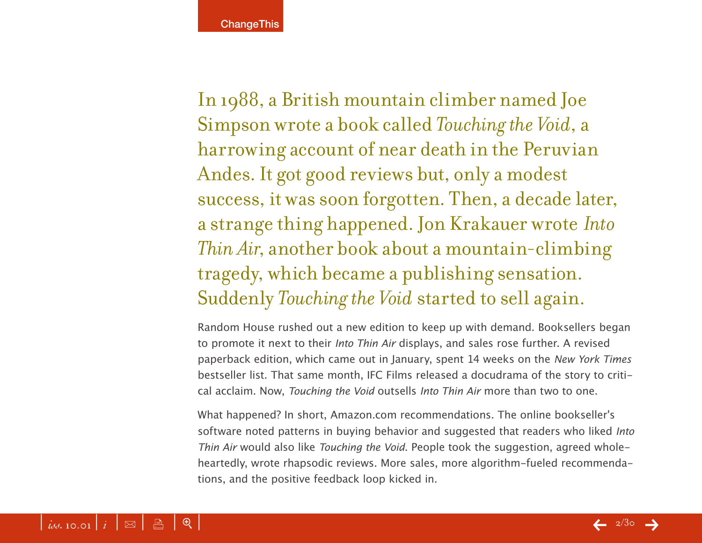In 1988, a British mountain climber named Joe Simpson wrote a book called *Touching the Void*, a harrowing account of near death in the Peruvian Andes. It got good reviews but, only a modest success, it was soon forgotten. Then, a decade later, a strange thing happened. Jon Krakauer wrote *Into Thin Air*, another book about a mountain-climbing tragedy, which became a publishing sensation. Suddenly *Touching the Void* started to sell again.

Random House rushed out a new edition to keep up with demand. Booksellers began to promote it next to their Into Thin Air displays, and sales rose further. A revised paperback edition, which came out in January, spent 14 weeks on the New York Times bestseller list. That same month, IFC Films released a docudrama of the story to critical acclaim. Now, Touching the Void outsells Into Thin Air more than two to one.

What happened? In short, Amazon.com recommendations. The online bookseller's software noted patterns in buying behavior and suggested that readers who liked Into Thin Air would also like Touching the Void. People took the suggestion, agreed wholeheartedly, wrote rhapsodic reviews. More sales, more algorithm-fueled recommendations, and the positive feedback loop kicked in.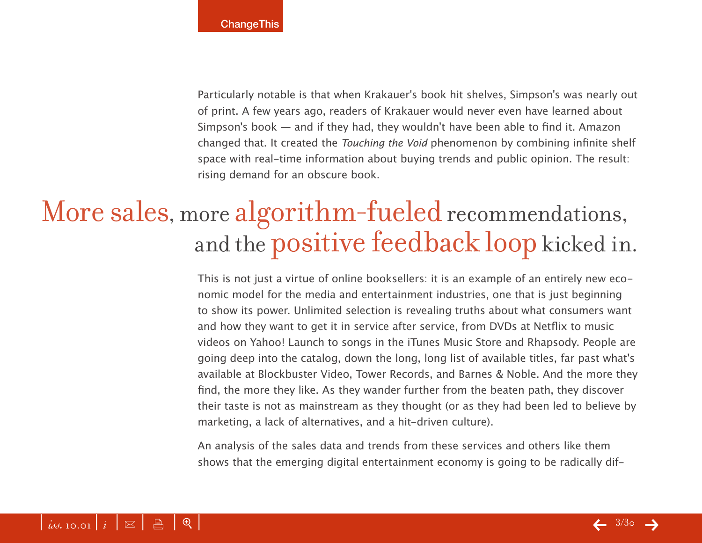Particularly notable is that when Krakauer's book hit shelves, Simpson's was nearly out of print. A few years ago, readers of Krakauer would never even have learned about Simpson's book — and if they had, they wouldn't have been able to find it. Amazon changed that. It created the Touching the Void phenomenon by combining infinite shelf space with real-time information about buying trends and public opinion. The result: rising demand for an obscure book.

# More sales, more algorithm-fueled recommendations, and the positive feedback loop kicked in.

This is not just a virtue of online booksellers: it is an example of an entirely new economic model for the media and entertainment industries, one that is just beginning to show its power. Unlimited selection is revealing truths about what consumers want and how they want to get it in service after service, from DVDs at Netflix to music videos on Yahoo! Launch to songs in the iTunes Music Store and Rhapsody. People are going deep into the catalog, down the long, long list of available titles, far past what's available at Blockbuster Video, Tower Records, and Barnes & Noble. And the more they find, the more they like. As they wander further from the beaten path, they discover their taste is not as mainstream as they thought (or as they had been led to believe by marketing, a lack of alternatives, and a hit-driven culture).

An analysis of the sales data and trends from these services and others like them shows that the emerging digital entertainment economy is going to be radically dif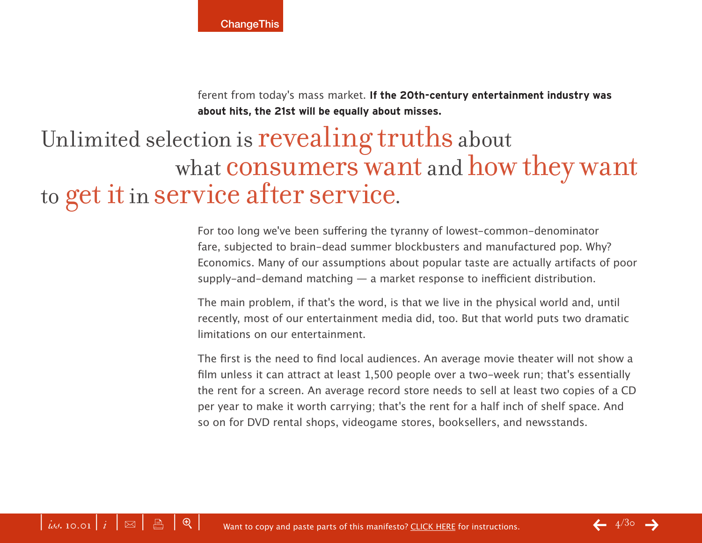ferent from today's mass market. **If the 20th-century entertainment industry was about hits, the 21st will be equally about misses.**

### Unlimited selection is revealing truths about what consumers want and how they want to get it in service after service.

For too long we've been suffering the tyranny of lowest-common-denominator fare, subjected to brain-dead summer blockbusters and manufactured pop. Why? Economics. Many of our assumptions about popular taste are actually artifacts of poor supply-and-demand matching — a market response to inefficient distribution.

The main problem, if that's the word, is that we live in the physical world and, until recently, most of our entertainment media did, too. But that world puts two dramatic limitations on our entertainment.

The first is the need to find local audiences. An average movie theater will not show a film unless it can attract at least 1,500 people over a two-week run; that's essentially the rent for a screen. An average record store needs to sell at least two copies of a CD per year to make it worth carrying; that's the rent for a half inch of shelf space. And so on for DVD rental shops, videogame stores, booksellers, and newsstands.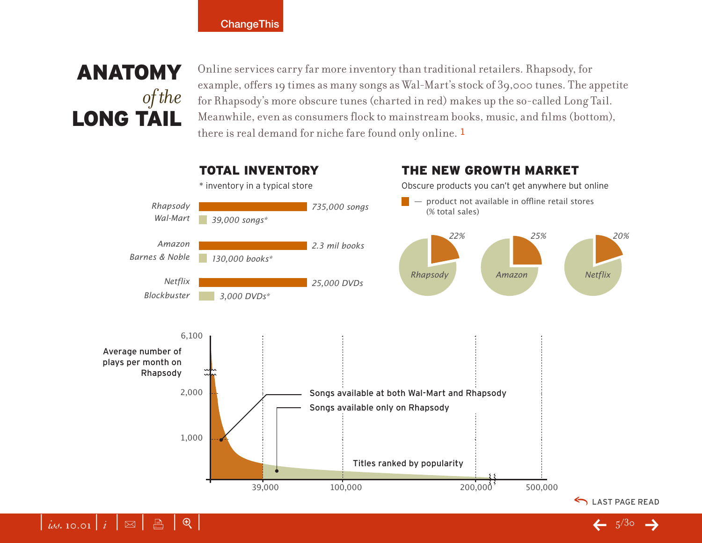

Online services carry far more inventory than traditional retailers. Rhapsody, for example, offers 19 times as many songs as Wal-Mart's stock of 39,000 tunes. The appetite for Rhapsody's more obscure tunes (charted in red) makes up the so-called Long Tail. Meanwhile, even as consumers flock to mainstream books, music, and films (bottom), there is real demand for niche fare found only online. 1



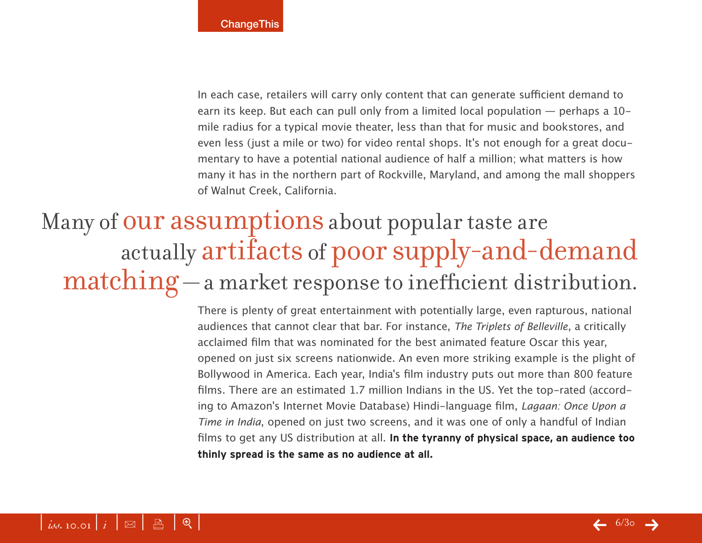In each case, retailers will carry only content that can generate sufficient demand to earn its keep. But each can pull only from a limited local population — perhaps a 10 mile radius for a typical movie theater, less than that for music and bookstores, and even less (just a mile or two) for video rental shops. It's not enough for a great documentary to have a potential national audience of half a million; what matters is how many it has in the northern part of Rockville, Maryland, and among the mall shoppers of Walnut Creek, California.

### Many of our assumptions about popular taste are actually artifacts of poor supply-and-demand matching — a market response to inefficient distribution.

There is plenty of great entertainment with potentially large, even rapturous, national audiences that cannot clear that bar. For instance, The Triplets of Belleville, a critically acclaimed film that was nominated for the best animated feature Oscar this year, opened on just six screens nationwide. An even more striking example is the plight of Bollywood in America. Each year, India's film industry puts out more than 800 feature films. There are an estimated 1.7 million Indians in the US. Yet the top-rated (according to Amazon's Internet Movie Database) Hindi-language film, Lagaan: Once Upon a Time in India, opened on just two screens, and it was one of only a handful of Indian films to get any US distribution at all. **In the tyranny of physical space, an audience too thinly spread is the same as no audience at all.**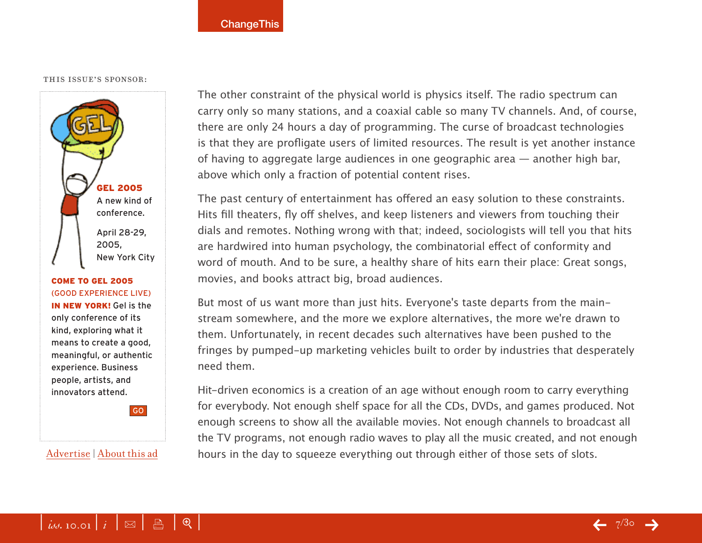### **ChangeThis**

#### This issue's Sponsor:



### COME TO GEL 2005 (GOOD EXPERIENCE LIVE) IN NEW YORK! Gel is the only conference of its kind, exploring what it means to create a good, meaningful, or authentic experience. Business people, artists, and innovators attend.

GO

### Advertise | About this ad

The other constraint of the physical world is physics itself. The radio spectrum can carry only so many stations, and a coaxial cable so many TV channels. And, of course, there are only 24 hours a day of programming. The curse of broadcast technologies is that they are profligate users of limited resources. The result is yet another instance of having to aggregate large audiences in one geographic area — another high bar, above which only a fraction of potential content rises.

The past century of entertainment has offered an easy solution to these constraints. Hits fill theaters, fly off shelves, and keep listeners and viewers from touching their dials and remotes. Nothing wrong with that; indeed, sociologists will tell you that hits are hardwired into human psychology, the combinatorial effect of conformity and word of mouth. And to be sure, a healthy share of hits earn their place: Great songs, movies, and books attract big, broad audiences.

But most of us want more than just hits. Everyone's taste departs from the mainstream somewhere, and the more we explore alternatives, the more we're drawn to them. Unfortunately, in recent decades such alternatives have been pushed to the fringes by pumped-up marketing vehicles built to order by industries that desperately need them.

Hit-driven economics is a creation of an age without enough room to carry everything for everybody. Not enough shelf space for all the CDs, DVDs, and games produced. Not enough screens to show all the available movies. Not enough channels to broadcast all the TV programs, not enough radio waves to play all the music created, and not enough hours in the day to squeeze everything out through either of those sets of slots.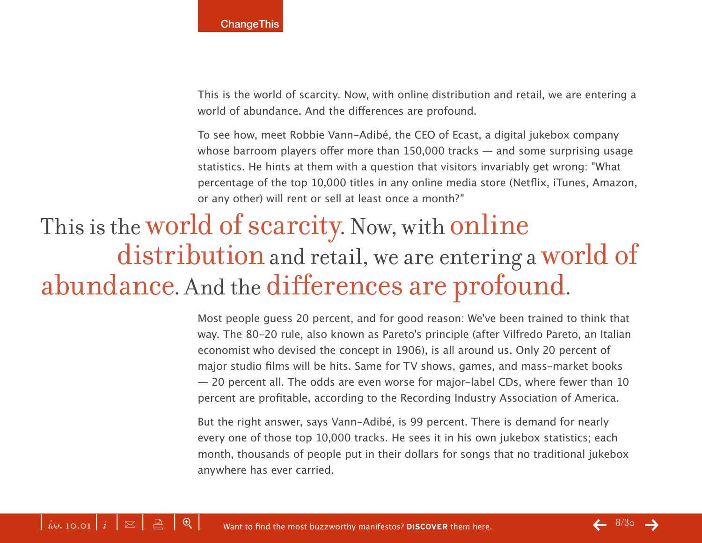This is the world of scarcity. Now, with online distribution and retail, we are entering a world of abundance. And the differences are profound.

To see how, meet Robbie Vann-Adibé, the CEO of Ecast, a digital jukebox company whose barroom players offer more than 150,000 tracks — and some surprising usage statistics. He hints at them with a question that visitors invariably get wrong: "What percentage of the top 10,000 titles in any online media store (Netflix, iTunes, Amazon, or any other) will rent or sell at least once a month?"

# This is the world of scarcity. Now, with online distribution and retail, we are entering a world of abundance. And the differences are profound.

Most people guess 20 percent, and for good reason: We've been trained to think that way. The 80-20 rule, also known as Pareto's principle (after Vilfredo Pareto, an Italian economist who devised the concept in 1906), is all around us. Only 20 percent of major studio films will be hits. Same for TV shows, games, and mass-market books — 20 percent all. The odds are even worse for major-label CDs, where fewer than 10 percent are profitable, according to the Recording Industry Association of America.

But the right answer, says Vann-Adibé, is 99 percent. There is demand for nearly every one of those top 10,000 tracks. He sees it in his own jukebox statistics; each month, thousands of people put in their dollars for songs that no traditional jukebox anywhere has ever carried.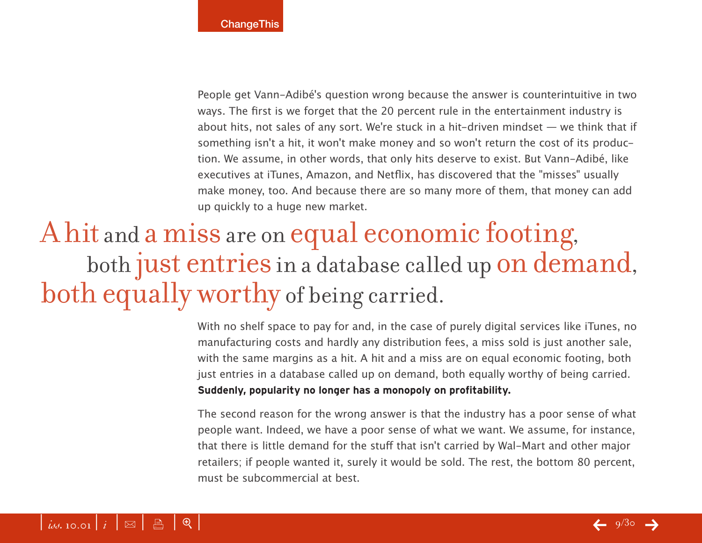People get Vann-Adibé's question wrong because the answer is counterintuitive in two ways. The first is we forget that the 20 percent rule in the entertainment industry is about hits, not sales of any sort. We're stuck in a hit-driven mindset — we think that if something isn't a hit, it won't make money and so won't return the cost of its production. We assume, in other words, that only hits deserve to exist. But Vann-Adibé, like executives at iTunes, Amazon, and Netflix, has discovered that the "misses" usually make money, too. And because there are so many more of them, that money can add up quickly to a huge new market.

# A hit and a miss are on equal economic footing, both just entries in a database called up on demand, both equally worthy of being carried.

With no shelf space to pay for and, in the case of purely digital services like iTunes, no manufacturing costs and hardly any distribution fees, a miss sold is just another sale, with the same margins as a hit. A hit and a miss are on equal economic footing, both just entries in a database called up on demand, both equally worthy of being carried. **Suddenly, popularity no longer has a monopoly on profitability.**

The second reason for the wrong answer is that the industry has a poor sense of what people want. Indeed, we have a poor sense of what we want. We assume, for instance, that there is little demand for the stuff that isn't carried by Wal-Mart and other major retailers; if people wanted it, surely it would be sold. The rest, the bottom 80 percent, must be subcommercial at best.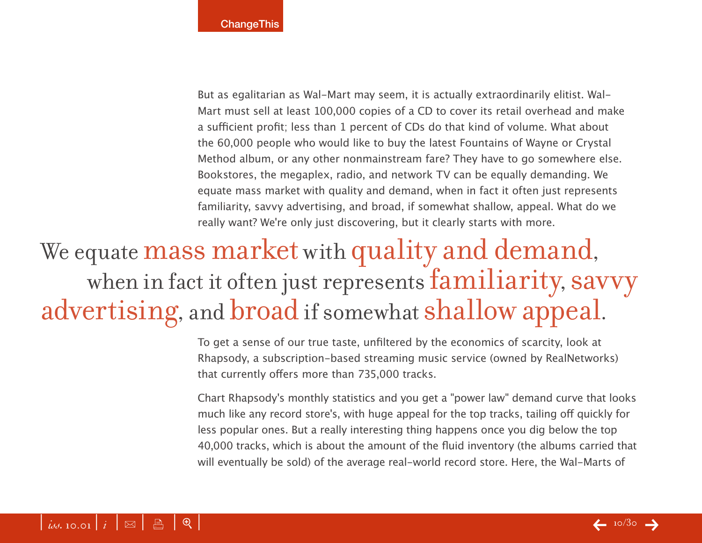But as egalitarian as Wal-Mart may seem, it is actually extraordinarily elitist. Wal-Mart must sell at least 100,000 copies of a CD to cover its retail overhead and make a sufficient profit; less than 1 percent of CDs do that kind of volume. What about the 60,000 people who would like to buy the latest Fountains of Wayne or Crystal Method album, or any other nonmainstream fare? They have to go somewhere else. Bookstores, the megaplex, radio, and network TV can be equally demanding. We equate mass market with quality and demand, when in fact it often just represents familiarity, savvy advertising, and broad, if somewhat shallow, appeal. What do we really want? We're only just discovering, but it clearly starts with more.

# We equate mass market with quality and demand, when in fact it often just represents familiarity, savvy advertising, and broad if somewhat shallow appeal.

To get a sense of our true taste, unfiltered by the economics of scarcity, look at Rhapsody, a subscription-based streaming music service (owned by RealNetworks) that currently offers more than 735,000 tracks.

Chart Rhapsody's monthly statistics and you get a "power law" demand curve that looks much like any record store's, with huge appeal for the top tracks, tailing off quickly for less popular ones. But a really interesting thing happens once you dig below the top 40,000 tracks, which is about the amount of the fluid inventory (the albums carried that will eventually be sold) of the average real-world record store. Here, the Wal-Marts of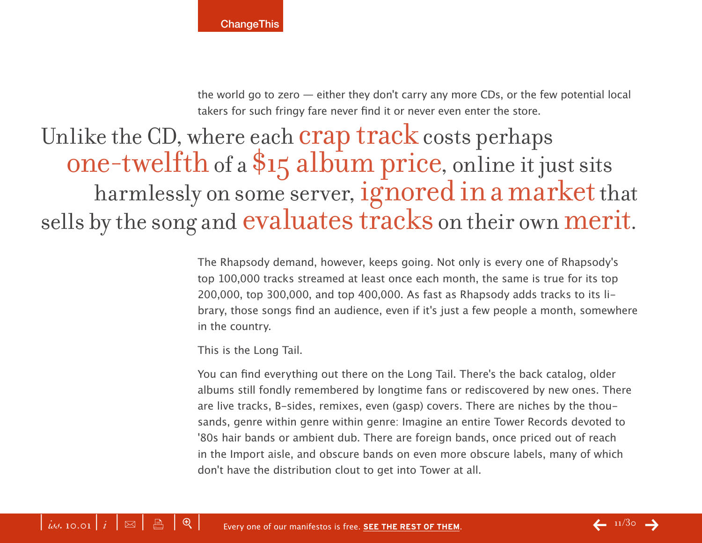the world go to zero — either they don't carry any more CDs, or the few potential local takers for such fringy fare never find it or never even enter the store.

### Unlike the CD, where each crap track costs perhaps one-twelfth of a \$15 album price, online it just sits harmlessly on some server, ignored in a market that sells by the song and evaluates tracks on their own merit.

The Rhapsody demand, however, keeps going. Not only is every one of Rhapsody's top 100,000 tracks streamed at least once each month, the same is true for its top 200,000, top 300,000, and top 400,000. As fast as Rhapsody adds tracks to its library, those songs find an audience, even if it's just a few people a month, somewhere in the country.

This is the Long Tail.

You can find everything out there on the Long Tail. There's the back catalog, older albums still fondly remembered by longtime fans or rediscovered by new ones. There are live tracks, B-sides, remixes, even (gasp) covers. There are niches by the thousands, genre within genre within genre: Imagine an entire Tower Records devoted to '80s hair bands or ambient dub. There are foreign bands, once priced out of reach in the Import aisle, and obscure bands on even more obscure labels, many of which don't have the distribution clout to get into Tower at all.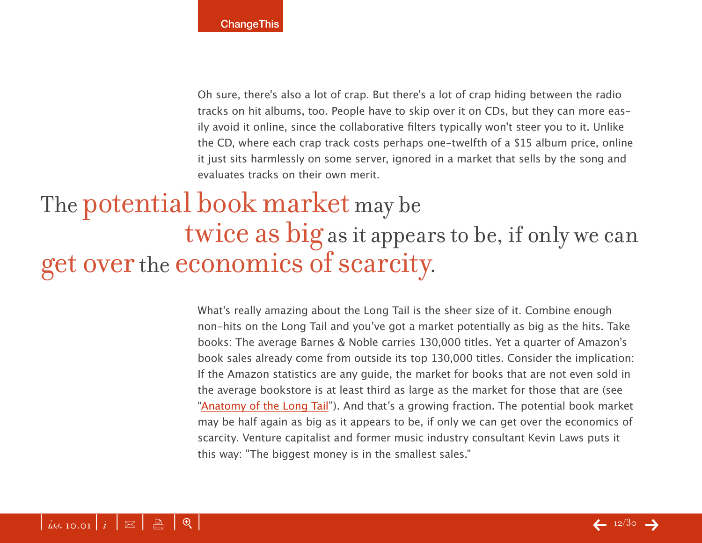Oh sure, there's also a lot of crap. But there's a lot of crap hiding between the radio tracks on hit albums, too. People have to skip over it on CDs, but they can more easily avoid it online, since the collaborative filters typically won't steer you to it. Unlike the CD, where each crap track costs perhaps one-twelfth of a \$15 album price, online it just sits harmlessly on some server, ignored in a market that sells by the song and evaluates tracks on their own merit.

# The potential book market may be twice as big as it appears to be, if only we can get over the economics of scarcity.

What's really amazing about the Long Tail is the sheer size of it. Combine enough non-hits on the Long Tail and you've got a market potentially as big as the hits. Take books: The average Barnes & Noble carries 130,000 titles. Yet a quarter of Amazon's book sales already come from outside its top 130,000 titles. Consider the implication: If the Amazon statistics are any guide, the market for books that are not even sold in the average bookstore is at least third as large as the market for those that are (see "Anatomy of the Long Tail"). And that's a growing fraction. The potential book market may be half again as big as it appears to be, if only we can get over the economics of scarcity. Venture capitalist and former music industry consultant Kevin Laws puts it this way: "The biggest money is in the smallest sales."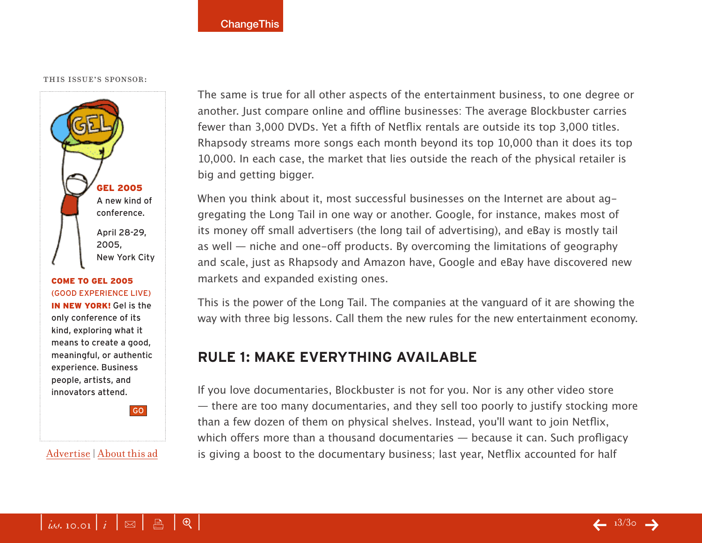#### This issue's Sponsor:



### COME TO GEL 2005 (GOOD EXPERIENCE LIVE) IN NEW YORK! Gel is the only conference of its kind, exploring what it means to create a good, meaningful, or authentic experience. Business people, artists, and innovators attend.

GO

Advertise | About this ad

The same is true for all other aspects of the entertainment business, to one degree or another. Just compare online and offline businesses: The average Blockbuster carries fewer than 3,000 DVDs. Yet a fifth of Netflix rentals are outside its top 3,000 titles. Rhapsody streams more songs each month beyond its top 10,000 than it does its top 10,000. In each case, the market that lies outside the reach of the physical retailer is big and getting bigger.

When you think about it, most successful businesses on the Internet are about aggregating the Long Tail in one way or another. Google, for instance, makes most of its money off small advertisers (the long tail of advertising), and eBay is mostly tail as well — niche and one-off products. By overcoming the limitations of geography and scale, just as Rhapsody and Amazon have, Google and eBay have discovered new markets and expanded existing ones.

This is the power of the Long Tail. The companies at the vanguard of it are showing the way with three big lessons. Call them the new rules for the new entertainment economy.

### **RULE 1: MAKE EVERYTHING AVAILABLE**

If you love documentaries, Blockbuster is not for you. Nor is any other video store — there are too many documentaries, and they sell too poorly to justify stocking more than a few dozen of them on physical shelves. Instead, you'll want to join Netflix, which offers more than a thousand documentaries — because it can. Such profligacy is giving a boost to the documentary business; last year, Netflix accounted for half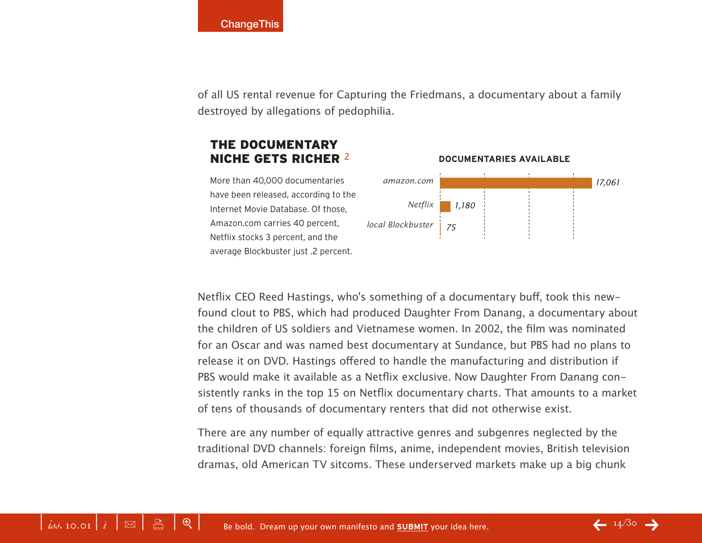of all US rental revenue for Capturing the Friedmans, a documentary about a family destroyed by allegations of pedophilia.

### THE DOCUMENTARY NICHE GETS RICHER 2

More than 40,000 documentaries have been released, according to the Internet Movie Database. Of those, Amazon.com carries 40 percent, Netflix stocks 3 percent, and the average Blockbuster just .2 percent.



Netflix CEO Reed Hastings, who's something of a documentary buff, took this newfound clout to PBS, which had produced Daughter From Danang, a documentary about the children of US soldiers and Vietnamese women. In 2002, the film was nominated for an Oscar and was named best documentary at Sundance, but PBS had no plans to release it on DVD. Hastings offered to handle the manufacturing and distribution if PBS would make it available as a Netflix exclusive. Now Daughter From Danang consistently ranks in the top 15 on Netflix documentary charts. That amounts to a market of tens of thousands of documentary renters that did not otherwise exist.

There are any number of equally attractive genres and subgenres neglected by the traditional DVD channels: foreign films, anime, independent movies, British television dramas, old American TV sitcoms. These underserved markets make up a big chunk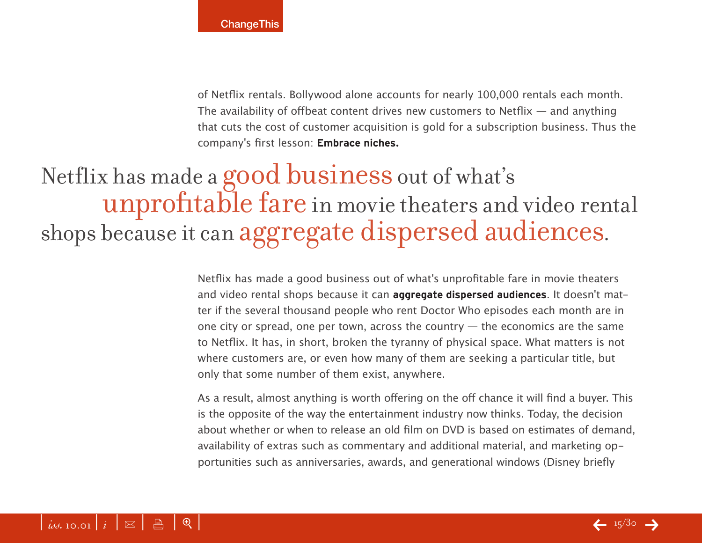of Netflix rentals. Bollywood alone accounts for nearly 100,000 rentals each month. The availability of offbeat content drives new customers to Netflix  $-$  and anything that cuts the cost of customer acquisition is gold for a subscription business. Thus the company's first lesson: **Embrace niches.**

## Netflix has made a good business out of what's unprofitable fare in movie theaters and video rental shops because it can aggregate dispersed audiences.

Netflix has made a good business out of what's unprofitable fare in movie theaters and video rental shops because it can **aggregate dispersed audiences**. It doesn't matter if the several thousand people who rent Doctor Who episodes each month are in one city or spread, one per town, across the country — the economics are the same to Netflix. It has, in short, broken the tyranny of physical space. What matters is not where customers are, or even how many of them are seeking a particular title, but only that some number of them exist, anywhere.

As a result, almost anything is worth offering on the off chance it will find a buyer. This is the opposite of the way the entertainment industry now thinks. Today, the decision about whether or when to release an old film on DVD is based on estimates of demand, availability of extras such as commentary and additional material, and marketing opportunities such as anniversaries, awards, and generational windows (Disney briefly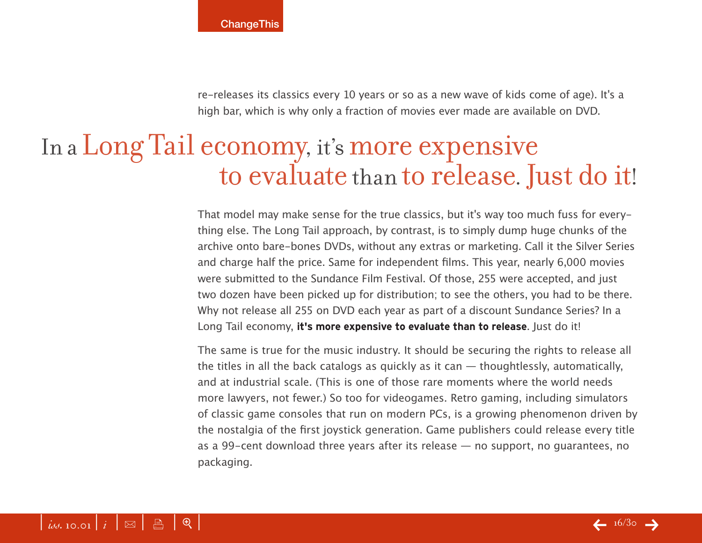re-releases its classics every 10 years or so as a new wave of kids come of age). It's a high bar, which is why only a fraction of movies ever made are available on DVD.

### In a Long Tail economy, it's more expensive to evaluate than to release. Just do it!

That model may make sense for the true classics, but it's way too much fuss for everything else. The Long Tail approach, by contrast, is to simply dump huge chunks of the archive onto bare-bones DVDs, without any extras or marketing. Call it the Silver Series and charge half the price. Same for independent films. This year, nearly 6,000 movies were submitted to the Sundance Film Festival. Of those, 255 were accepted, and just two dozen have been picked up for distribution; to see the others, you had to be there. Why not release all 255 on DVD each year as part of a discount Sundance Series? In a Long Tail economy, **it's more expensive to evaluate than to release**. Just do it!

The same is true for the music industry. It should be securing the rights to release all the titles in all the back catalogs as quickly as it can — thoughtlessly, automatically, and at industrial scale. (This is one of those rare moments where the world needs more lawyers, not fewer.) So too for videogames. Retro gaming, including simulators of classic game consoles that run on modern PCs, is a growing phenomenon driven by the nostalgia of the first joystick generation. Game publishers could release every title as a 99-cent download three years after its release — no support, no guarantees, no packaging.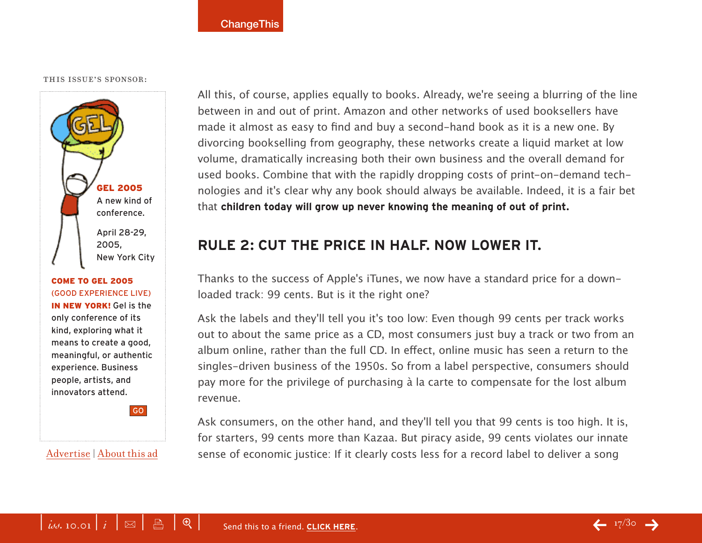#### This issue's Sponsor:



### COME TO GEL 2005 (GOOD EXPERIENCE LIVE) IN NEW YORK! Gel is the only conference of its kind, exploring what it means to create a good, meaningful, or authentic experience. Business people, artists, and innovators attend.

#### GO

### Advertise | About this ad

All this, of course, applies equally to books. Already, we're seeing a blurring of the line between in and out of print. Amazon and other networks of used booksellers have made it almost as easy to find and buy a second-hand book as it is a new one. By divorcing bookselling from geography, these networks create a liquid market at low volume, dramatically increasing both their own business and the overall demand for used books. Combine that with the rapidly dropping costs of print-on-demand technologies and it's clear why any book should always be available. Indeed, it is a fair bet that **children today will grow up never knowing the meaning of out of print.**

### **RULE 2: CUT THE PRICE IN HALF. NOW LOWER IT.**

Thanks to the success of Apple's iTunes, we now have a standard price for a downloaded track: 99 cents. But is it the right one?

Ask the labels and they'll tell you it's too low: Even though 99 cents per track works out to about the same price as a CD, most consumers just buy a track or two from an album online, rather than the full CD. In effect, online music has seen a return to the singles-driven business of the 1950s. So from a label perspective, consumers should pay more for the privilege of purchasing à la carte to compensate for the lost album revenue.

Ask consumers, on the other hand, and they'll tell you that 99 cents is too high. It is, for starters, 99 cents more than Kazaa. But piracy aside, 99 cents violates our innate sense of economic justice: If it clearly costs less for a record label to deliver a song

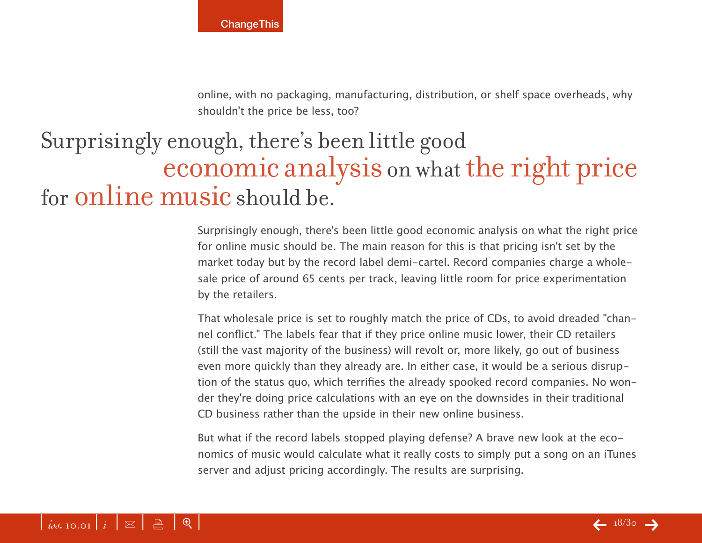online, with no packaging, manufacturing, distribution, or shelf space overheads, why shouldn't the price be less, too?

### Surprisingly enough, there's been little good economic analysis on what the right price for online music should be.

Surprisingly enough, there's been little good economic analysis on what the right price for online music should be. The main reason for this is that pricing isn't set by the market today but by the record label demi-cartel. Record companies charge a wholesale price of around 65 cents per track, leaving little room for price experimentation by the retailers.

That wholesale price is set to roughly match the price of CDs, to avoid dreaded "channel conflict." The labels fear that if they price online music lower, their CD retailers (still the vast majority of the business) will revolt or, more likely, go out of business even more quickly than they already are. In either case, it would be a serious disruption of the status quo, which terrifies the already spooked record companies. No wonder they're doing price calculations with an eye on the downsides in their traditional CD business rather than the upside in their new online business.

But what if the record labels stopped playing defense? A brave new look at the economics of music would calculate what it really costs to simply put a song on an iTunes server and adjust pricing accordingly. The results are surprising.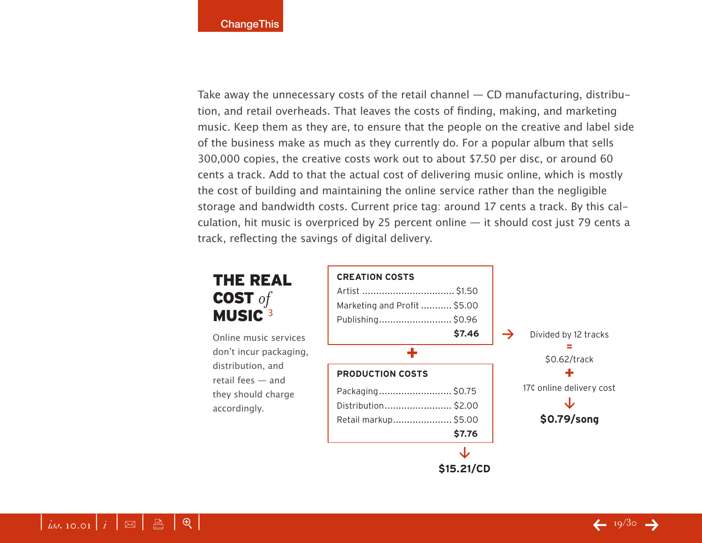Take away the unnecessary costs of the retail channel — CD manufacturing, distribution, and retail overheads. That leaves the costs of finding, making, and marketing music. Keep them as they are, to ensure that the people on the creative and label side of the business make as much as they currently do. For a popular album that sells 300,000 copies, the creative costs work out to about \$7.50 per disc, or around 60 cents a track. Add to that the actual cost of delivering music online, which is mostly the cost of building and maintaining the online service rather than the negligible storage and bandwidth costs. Current price tag: around 17 cents a track. By this calculation, hit music is overpriced by 25 percent online — it should cost just 79 cents a track, reflecting the savings of digital delivery.

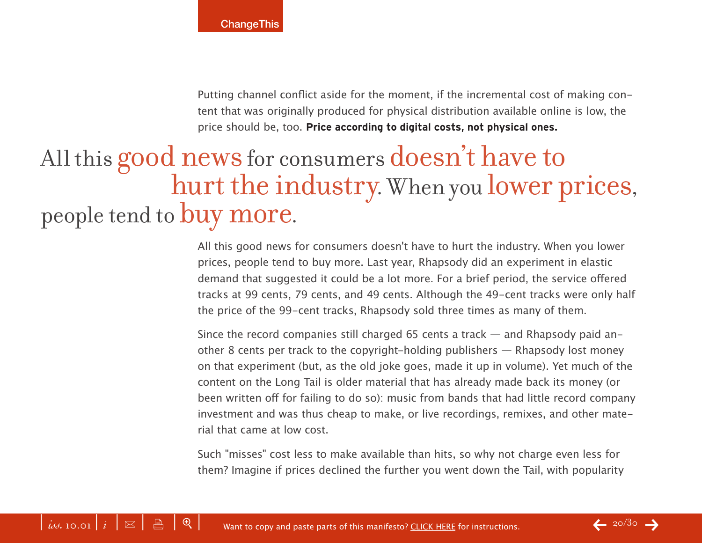Putting channel conflict aside for the moment, if the incremental cost of making content that was originally produced for physical distribution available online is low, the price should be, too. **Price according to digital costs, not physical ones.**

## All this good news for consumers doesn't have to hurt the industry. When you lower prices, people tend to buy more.

All this good news for consumers doesn't have to hurt the industry. When you lower prices, people tend to buy more. Last year, Rhapsody did an experiment in elastic demand that suggested it could be a lot more. For a brief period, the service offered tracks at 99 cents, 79 cents, and 49 cents. Although the 49-cent tracks were only half the price of the 99-cent tracks, Rhapsody sold three times as many of them.

Since the record companies still charged 65 cents a track — and Rhapsody paid another 8 cents per track to the copyright-holding publishers — Rhapsody lost money on that experiment (but, as the old joke goes, made it up in volume). Yet much of the content on the Long Tail is older material that has already made back its money (or been written off for failing to do so): music from bands that had little record company investment and was thus cheap to make, or live recordings, remixes, and other material that came at low cost.

Such "misses" cost less to make available than hits, so why not charge even less for them? Imagine if prices declined the further you went down the Tail, with popularity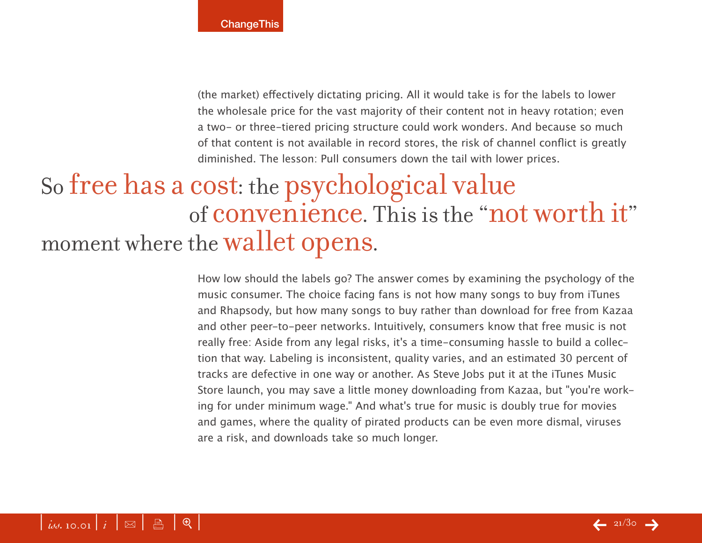(the market) effectively dictating pricing. All it would take is for the labels to lower the wholesale price for the vast majority of their content not in heavy rotation; even a two- or three-tiered pricing structure could work wonders. And because so much of that content is not available in record stores, the risk of channel conflict is greatly diminished. The lesson: Pull consumers down the tail with lower prices.

## So free has a cost: the psychological value of convenience. This is the "not worth it" moment where the wallet opens.

How low should the labels go? The answer comes by examining the psychology of the music consumer. The choice facing fans is not how many songs to buy from iTunes and Rhapsody, but how many songs to buy rather than download for free from Kazaa and other peer-to-peer networks. Intuitively, consumers know that free music is not really free: Aside from any legal risks, it's a time-consuming hassle to build a collection that way. Labeling is inconsistent, quality varies, and an estimated 30 percent of tracks are defective in one way or another. As Steve Jobs put it at the iTunes Music Store launch, you may save a little money downloading from Kazaa, but "you're working for under minimum wage." And what's true for music is doubly true for movies and games, where the quality of pirated products can be even more dismal, viruses are a risk, and downloads take so much longer.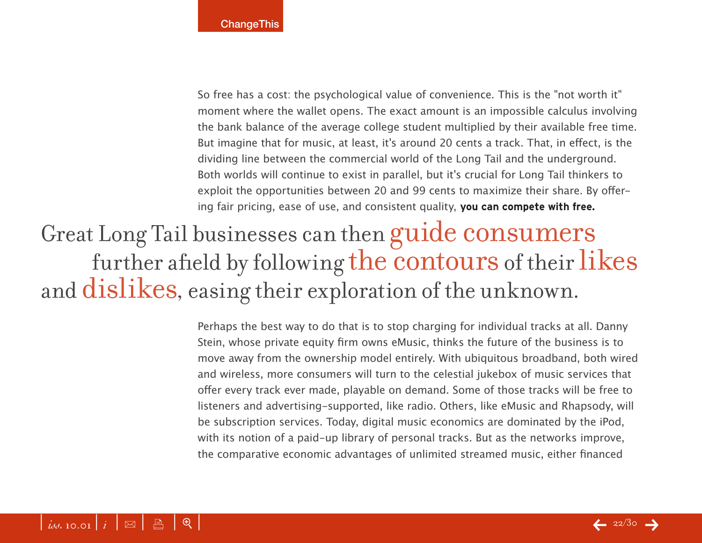So free has a cost: the psychological value of convenience. This is the "not worth it" moment where the wallet opens. The exact amount is an impossible calculus involving the bank balance of the average college student multiplied by their available free time. But imagine that for music, at least, it's around 20 cents a track. That, in effect, is the dividing line between the commercial world of the Long Tail and the underground. Both worlds will continue to exist in parallel, but it's crucial for Long Tail thinkers to exploit the opportunities between 20 and 99 cents to maximize their share. By offering fair pricing, ease of use, and consistent quality, **you can compete with free.**

### Great Long Tail businesses can then guide consumers further afield by following the contours of their likes and dislikes, easing their exploration of the unknown.

Perhaps the best way to do that is to stop charging for individual tracks at all. Danny Stein, whose private equity firm owns eMusic, thinks the future of the business is to move away from the ownership model entirely. With ubiquitous broadband, both wired and wireless, more consumers will turn to the celestial jukebox of music services that offer every track ever made, playable on demand. Some of those tracks will be free to listeners and advertising-supported, like radio. Others, like eMusic and Rhapsody, will be subscription services. Today, digital music economics are dominated by the iPod, with its notion of a paid-up library of personal tracks. But as the networks improve, the comparative economic advantages of unlimited streamed music, either financed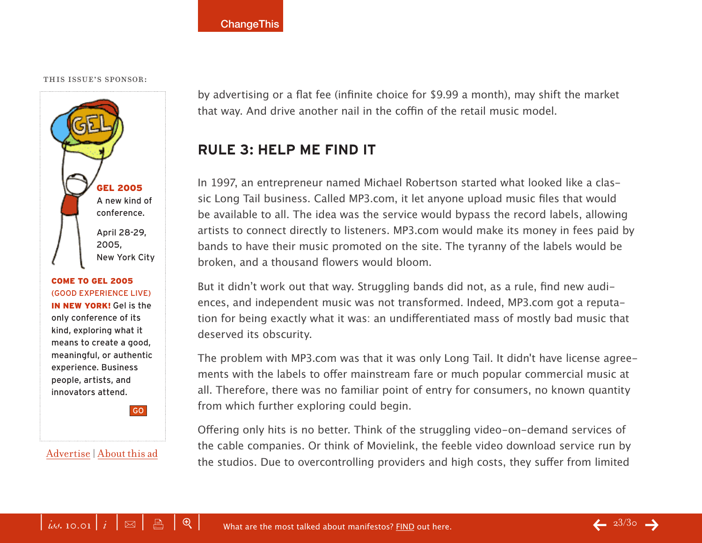This issue's Sponsor:



### COME TO GEL 2005 (GOOD EXPERIENCE LIVE) IN NEW YORK! Gel is the only conference of its kind, exploring what it means to create a good, meaningful, or authentic experience. Business people, artists, and innovators attend.

Advertise | About this ad

GO

by advertising or a flat fee (infinite choice for \$9.99 a month), may shift the market that way. And drive another nail in the coffin of the retail music model.

### **RULE 3: HELP ME FIND IT**

In 1997, an entrepreneur named Michael Robertson started what looked like a classic Long Tail business. Called MP3.com, it let anyone upload music files that would be available to all. The idea was the service would bypass the record labels, allowing artists to connect directly to listeners. MP3.com would make its money in fees paid by bands to have their music promoted on the site. The tyranny of the labels would be broken, and a thousand flowers would bloom.

But it didn't work out that way. Struggling bands did not, as a rule, find new audiences, and independent music was not transformed. Indeed, MP3.com got a reputation for being exactly what it was: an undifferentiated mass of mostly bad music that deserved its obscurity.

The problem with MP3.com was that it was only Long Tail. It didn't have license agreements with the labels to offer mainstream fare or much popular commercial music at all. Therefore, there was no familiar point of entry for consumers, no known quantity from which further exploring could begin.

Offering only hits is no better. Think of the struggling video-on-demand services of the cable companies. Or think of Movielink, the feeble video download service run by the studios. Due to overcontrolling providers and high costs, they suffer from limited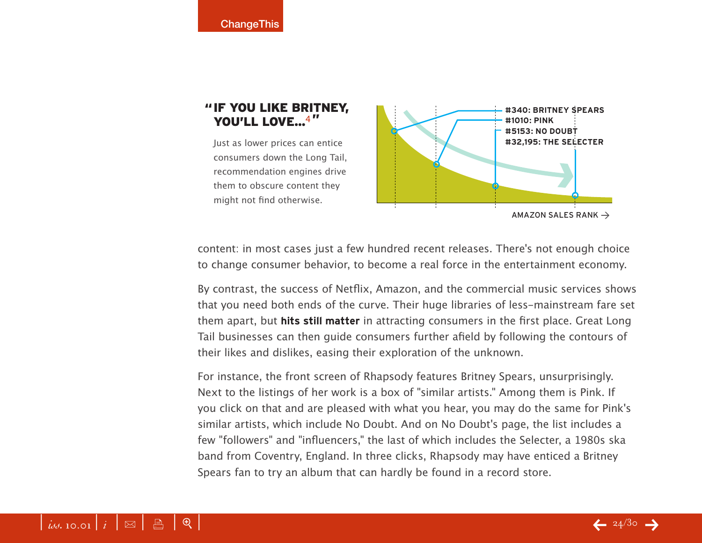### " IF YOU LIKE BRITNEY, YOU'LL LOVE...<sup>4"</sup>

Just as lower prices can entice consumers down the Long Tail, recommendation engines drive them to obscure content they might not find otherwise.



content: in most cases just a few hundred recent releases. There's not enough choice to change consumer behavior, to become a real force in the entertainment economy.

By contrast, the success of Netflix, Amazon, and the commercial music services shows that you need both ends of the curve. Their huge libraries of less-mainstream fare set them apart, but **hits still matter** in attracting consumers in the first place. Great Long Tail businesses can then guide consumers further afield by following the contours of their likes and dislikes, easing their exploration of the unknown.

For instance, the front screen of Rhapsody features Britney Spears, unsurprisingly. Next to the listings of her work is a box of "similar artists." Among them is Pink. If you click on that and are pleased with what you hear, you may do the same for Pink's similar artists, which include No Doubt. And on No Doubt's page, the list includes a few "followers" and "influencers," the last of which includes the Selecter, a 1980s ska band from Coventry, England. In three clicks, Rhapsody may have enticed a Britney Spears fan to try an album that can hardly be found in a record store.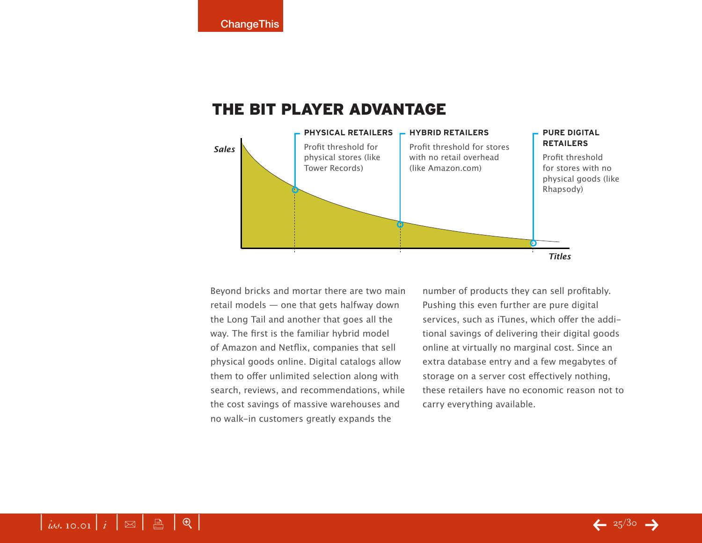### THE BIT PLAYER ADVANTAGE



Beyond bricks and mortar there are two main retail models — one that gets halfway down the Long Tail and another that goes all the way. The first is the familiar hybrid model of Amazon and Netflix, companies that sell physical goods online. Digital catalogs allow them to offer unlimited selection along with search, reviews, and recommendations, while the cost savings of massive warehouses and no walk-in customers greatly expands the

number of products they can sell profitably. Pushing this even further are pure digital services, such as iTunes, which offer the additional savings of delivering their digital goods online at virtually no marginal cost. Since an extra database entry and a few megabytes of storage on a server cost effectively nothing, these retailers have no economic reason not to carry everything available.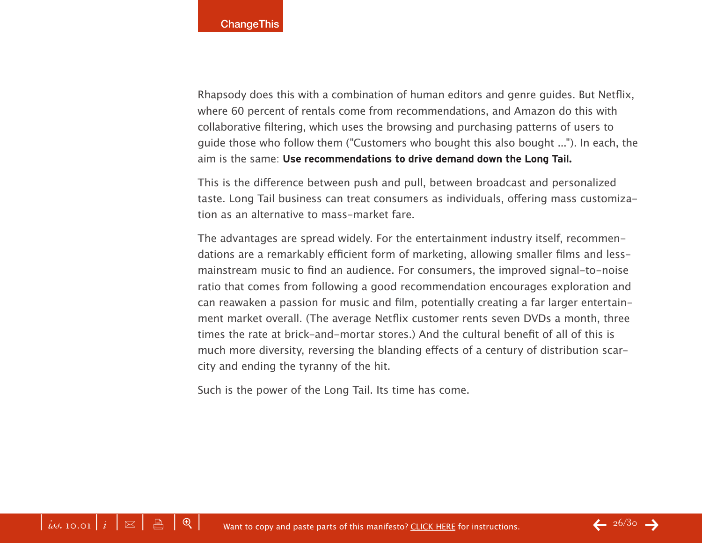Rhapsody does this with a combination of human editors and genre guides. But Netflix, where 60 percent of rentals come from recommendations, and Amazon do this with collaborative filtering, which uses the browsing and purchasing patterns of users to guide those who follow them ("Customers who bought this also bought ..."). In each, the aim is the same: **Use recommendations to drive demand down the Long Tail.**

This is the difference between push and pull, between broadcast and personalized taste. Long Tail business can treat consumers as individuals, offering mass customization as an alternative to mass-market fare.

The advantages are spread widely. For the entertainment industry itself, recommendations are a remarkably efficient form of marketing, allowing smaller films and lessmainstream music to find an audience. For consumers, the improved signal-to-noise ratio that comes from following a good recommendation encourages exploration and can reawaken a passion for music and film, potentially creating a far larger entertainment market overall. (The average Netflix customer rents seven DVDs a month, three times the rate at brick-and-mortar stores.) And the cultural benefit of all of this is much more diversity, reversing the blanding effects of a century of distribution scarcity and ending the tyranny of the hit.

Such is the power of the Long Tail. Its time has come.

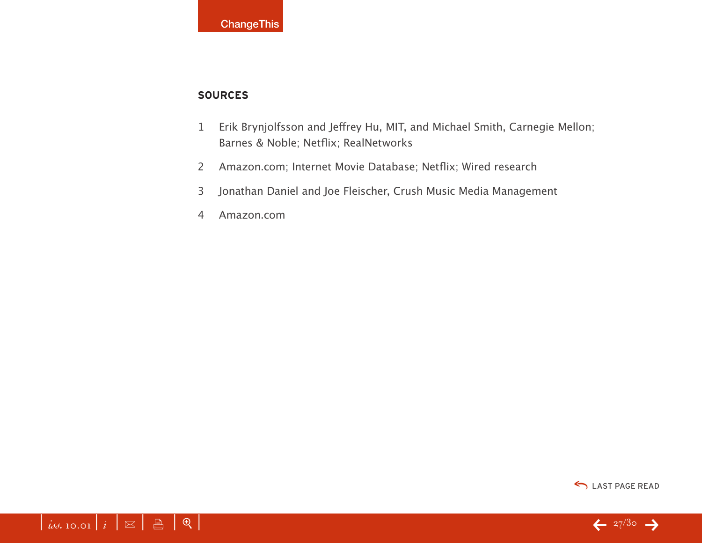

### **SOURCES**

- 1 Erik Brynjolfsson and Jeffrey Hu, MIT, and Michael Smith, Carnegie Mellon; Barnes & Noble; Netflix; RealNetworks
- 2 Amazon.com; Internet Movie Database; Netflix; Wired research
- 3 Jonathan Daniel and Joe Fleischer, Crush Music Media Management
- 4 Amazon.com





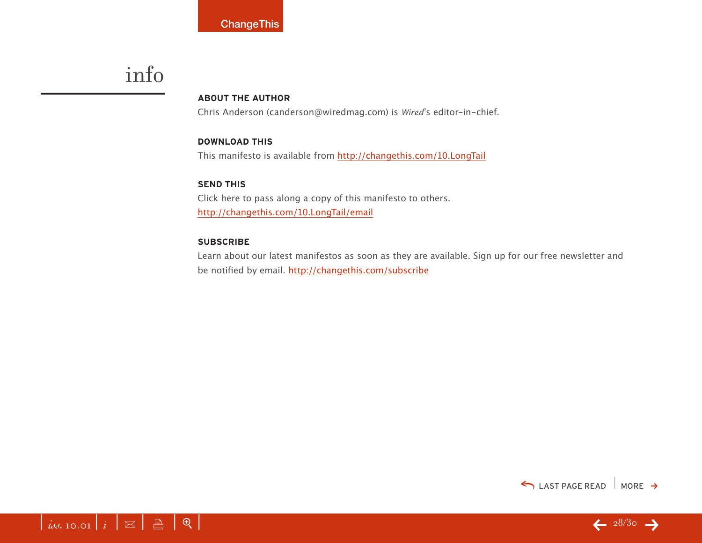### info

#### **ABOUT THE AUTHOR**

Chris Anderson (canderson@wiredmag.com) is Wired's editor-in-chief.

### **DOWNLOAD THIS**

This manifesto is available from <http://changethis.com/10.LongTail>

### **SEND THIS**

Click here to pass along a copy of this manifesto to others. <http://changethis.com/10.LongTail/email>

#### **SUBSCRIBE**

Learn about our latest manifestos as soon as they are available. Sign up for our free newsletter and be notified by email.<http://changethis.com/subscribe>





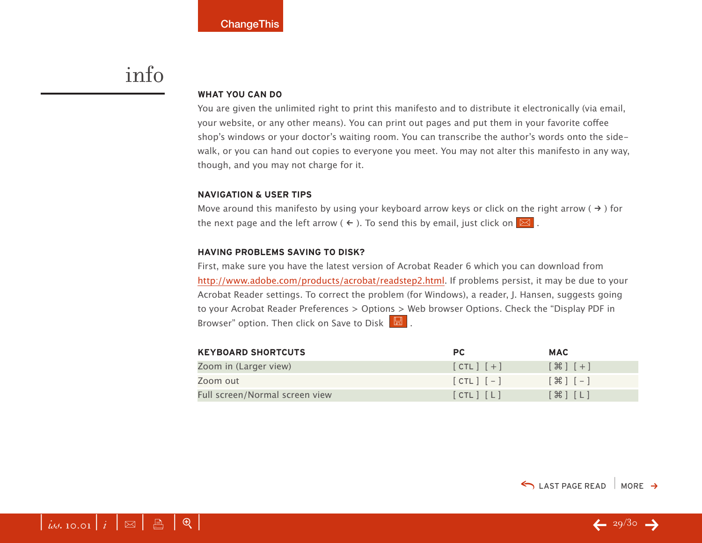### info

#### **WHAT YOU CAN DO**

You are given the unlimited right to print this manifesto and to distribute it electronically (via email, your website, or any other means). You can print out pages and put them in your favorite coffee shop's windows or your doctor's waiting room. You can transcribe the author's words onto the sidewalk, or you can hand out copies to everyone you meet. You may not alter this manifesto in any way, though, and you may not charge for it.

#### **NAVIGATION & USER TIPS**

Move around this manifesto by using your keyboard arrow keys or click on the right arrow ( $\rightarrow$ ) for the next page and the left arrow (  $\leftarrow$  ). To send this by email, just click on  $\boxed{\boxtimes}$  .

#### **HAVING PROBLEMS SAVING TO DISK?**

First, make sure you have the latest version of Acrobat Reader 6 which you can download from [http://www.adobe.com/products/acrobat/readstep2.html.](http://www.adobe.com/products/acrobat/readstep2.html) If problems persist, it may be due to your Acrobat Reader settings. To correct the problem (for Windows), a reader, J. Hansen, suggests going to your Acrobat Reader Preferences > Options > Web browser Options. Check the "Display PDF in Browser" option. Then click on Save to Disk  $\boxed{\boxtimes}$ .

| <b>KEYBOARD SHORTCUTS</b>      | PC.           | <b>MAC</b>                                 |
|--------------------------------|---------------|--------------------------------------------|
| Zoom in (Larger view)          | $[CHL]$ $[+]$ | $[$ $\mathcal{H}$ $]$ $[$ $+$ $]$          |
| Zoom out                       | $[CHL]$ $[-]$ | $[ H ] - ]$                                |
| Full screen/Normal screen view | [CHL] [L]     | $[$ $\mathcal{H}$ $]$ $[$ $\mathsf{L}$ $]$ |